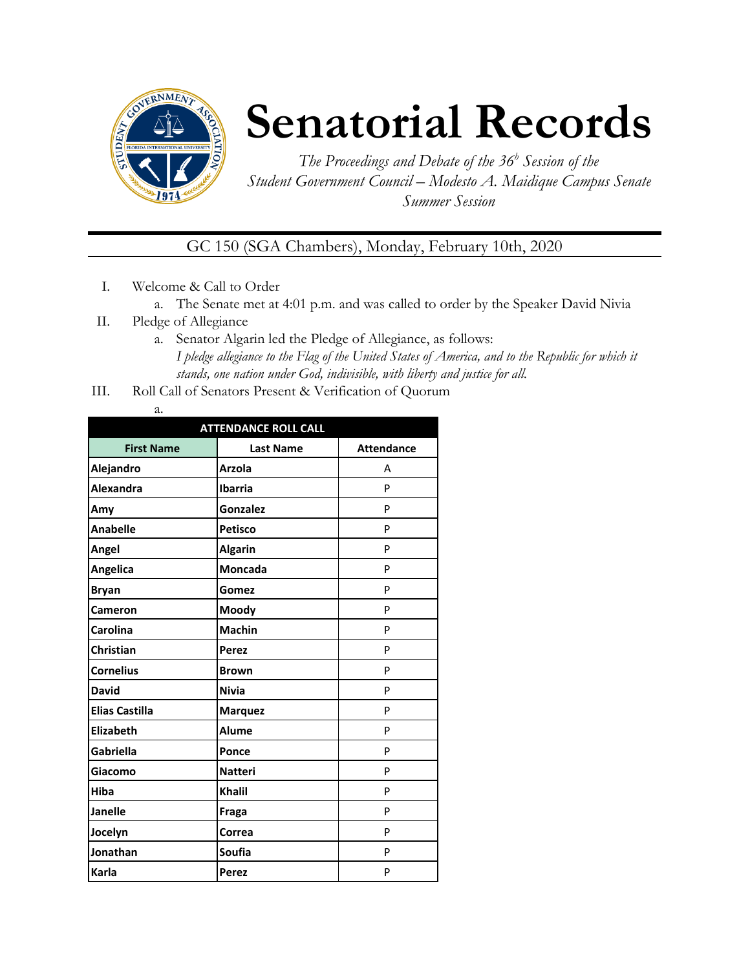

## **Senatorial Records**

*The Proceedings and Debate of the 36 <sup>h</sup> Session of the Student Government Council – Modesto A. Maidique Campus Senate Summer Session*

GC 150 (SGA Chambers), Monday, February 10th, 2020

- I. Welcome & Call to Order
	- a. The Senate met at 4:01 p.m. and was called to order by the Speaker David Nivia
- II. Pledge of Allegiance
	- a. Senator Algarin led the Pledge of Allegiance, as follows: *I pledge allegiance to the Flag of the United States of America, and to the Republic for which it stands, one nation under God, indivisible, with liberty and justice for all.*
- III. Roll Call of Senators Present & Verification of Quorum

| . .<br>÷<br>۰. |
|----------------|

| <b>ATTENDANCE ROLL CALL</b> |                  |                   |  |  |
|-----------------------------|------------------|-------------------|--|--|
| <b>First Name</b>           | <b>Last Name</b> | <b>Attendance</b> |  |  |
| Alejandro                   | <b>Arzola</b>    | А                 |  |  |
| <b>Alexandra</b>            | <b>Ibarria</b>   | P                 |  |  |
| Amy                         | Gonzalez         | P                 |  |  |
| <b>Anabelle</b>             | <b>Petisco</b>   | P                 |  |  |
| Angel                       | <b>Algarin</b>   | P                 |  |  |
| Angelica                    | <b>Moncada</b>   | P                 |  |  |
| <b>Bryan</b>                | Gomez            | P                 |  |  |
| Cameron                     | Moody            | P                 |  |  |
| Carolina                    | <b>Machin</b>    | P                 |  |  |
| Christian                   | Perez            | P                 |  |  |
| <b>Cornelius</b>            | <b>Brown</b>     | P                 |  |  |
| <b>David</b>                | <b>Nivia</b>     | P                 |  |  |
| <b>Elias Castilla</b>       | <b>Marquez</b>   | P                 |  |  |
| <b>Elizabeth</b>            | <b>Alume</b>     | P                 |  |  |
| Gabriella                   | Ponce            | P                 |  |  |
| Giacomo                     | <b>Natteri</b>   | P                 |  |  |
| Hiba                        | <b>Khalil</b>    | P                 |  |  |
| <b>Janelle</b>              | Fraga            | P                 |  |  |
| Jocelyn                     | Correa           | P                 |  |  |
| Jonathan                    | <b>Soufia</b>    | P                 |  |  |
| Karla                       | <b>Perez</b>     | P                 |  |  |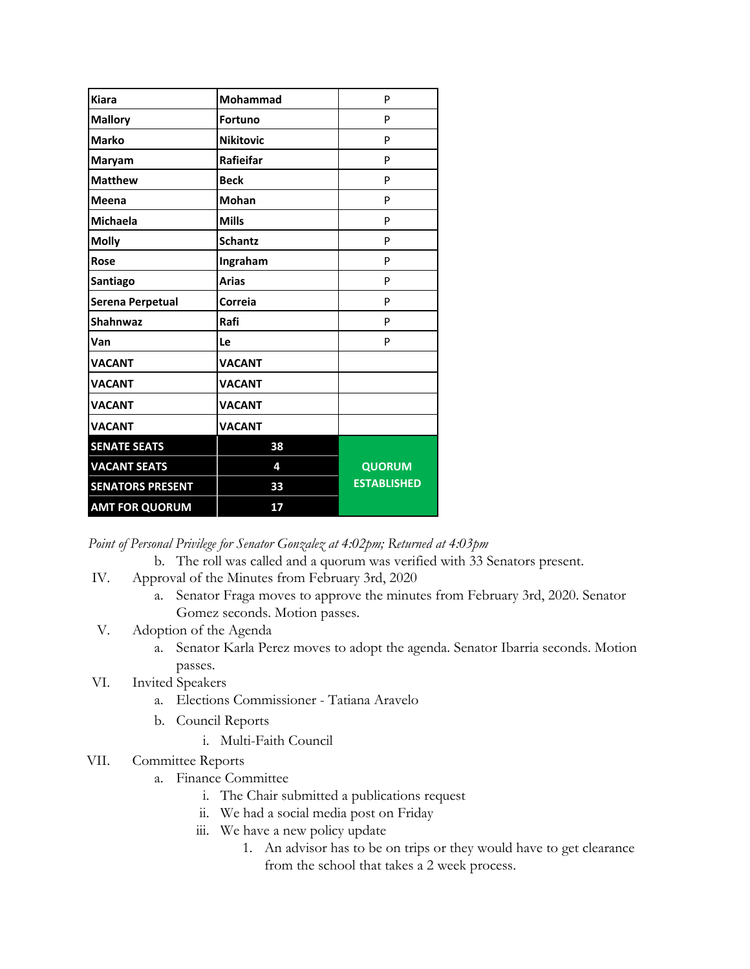| <b>Kiara</b>            | Mohammad         | P                  |
|-------------------------|------------------|--------------------|
| <b>Mallory</b>          | <b>Fortuno</b>   | P                  |
| <b>Marko</b>            | <b>Nikitovic</b> | P                  |
| Maryam                  | Rafieifar        | P                  |
| <b>Matthew</b>          | <b>Beck</b>      | P                  |
| Meena                   | <b>Mohan</b>     | P                  |
| <b>Michaela</b>         | <b>Mills</b>     | P                  |
| <b>Molly</b>            | <b>Schantz</b>   | P                  |
| <b>Rose</b>             | Ingraham         | P                  |
| Santiago                | <b>Arias</b>     | P                  |
| Serena Perpetual        | Correia          | P                  |
| Shahnwaz                | Rafi             | P                  |
| Van                     | Le               | P                  |
| <b>VACANT</b>           | <b>VACANT</b>    |                    |
| <b>VACANT</b>           | <b>VACANT</b>    |                    |
| <b>VACANT</b>           | <b>VACANT</b>    |                    |
| <b>VACANT</b>           | <b>VACANT</b>    |                    |
| <b>SENATE SEATS</b>     | 38               |                    |
| <b>VACANT SEATS</b>     | 4                | <b>QUORUM</b>      |
| <b>SENATORS PRESENT</b> | 33               | <b>ESTABLISHED</b> |
| <b>AMT FOR QUORUM</b>   | 17               |                    |

*Point of Personal Privilege for Senator Gonzalez at 4:02pm; Returned at 4:03pm*

b. The roll was called and a quorum was verified with 33 Senators present.

- IV. Approval of the Minutes from February 3rd, 2020
	- a. Senator Fraga moves to approve the minutes from February 3rd, 2020. Senator Gomez seconds. Motion passes.
- V. Adoption of the Agenda
	- a. Senator Karla Perez moves to adopt the agenda. Senator Ibarria seconds. Motion passes.
- VI. Invited Speakers
	- a. Elections Commissioner Tatiana Aravelo
	- b. Council Reports
		- i. Multi-Faith Council
- VII. Committee Reports
	- a. Finance Committee
		- i. The Chair submitted a publications request
		- ii. We had a social media post on Friday
		- iii. We have a new policy update
			- 1. An advisor has to be on trips or they would have to get clearance from the school that takes a 2 week process.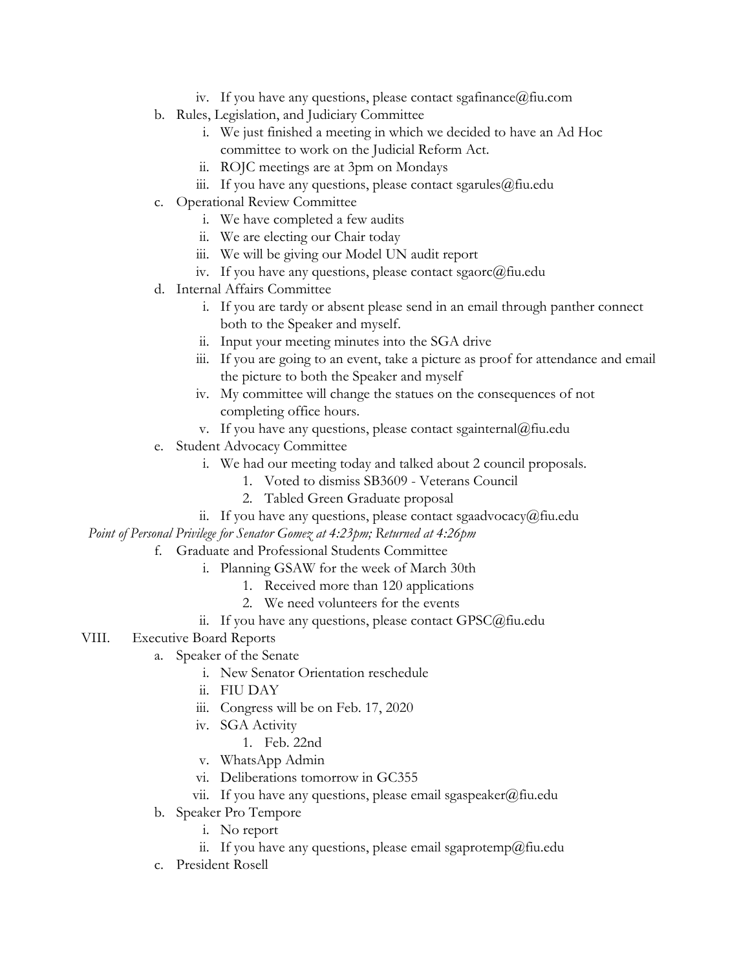- iv. If you have any questions, please contact sgafinance  $@$  fiu.com
- b. Rules, Legislation, and Judiciary Committee
	- i. We just finished a meeting in which we decided to have an Ad Hoc committee to work on the Judicial Reform Act.
	- ii. ROJC meetings are at 3pm on Mondays
	- iii. If you have any questions, please contact sgarules  $@$  fiu.edu
- c. Operational Review Committee
	- i. We have completed a few audits
	- ii. We are electing our Chair today
	- iii. We will be giving our Model UN audit report
	- iv. If you have any questions, please contact sgaorc@fiu.edu
- d. Internal Affairs Committee
	- i. If you are tardy or absent please send in an email through panther connect both to the Speaker and myself.
	- ii. Input your meeting minutes into the SGA drive
	- iii. If you are going to an event, take a picture as proof for attendance and email the picture to both the Speaker and myself
	- iv. My committee will change the statues on the consequences of not completing office hours.
	- v. If you have any questions, please contact sgainternal@fiu.edu
- e. Student Advocacy Committee
	- i. We had our meeting today and talked about 2 council proposals.
		- 1. Voted to dismiss SB3609 Veterans Council
		- 2. Tabled Green Graduate proposal
	- ii. If you have any questions, please contact sgaadvocacy@fiu.edu

*Point of Personal Privilege for Senator Gomez at 4:23pm; Returned at 4:26pm*

- f. Graduate and Professional Students Committee
	- i. Planning GSAW for the week of March 30th
		- 1. Received more than 120 applications
		- 2. We need volunteers for the events
	- ii. If you have any questions, please contact GPSC@fiu.edu
- VIII. Executive Board Reports
	- a. Speaker of the Senate
		- i. New Senator Orientation reschedule
		- ii. FIU DAY
		- iii. Congress will be on Feb. 17, 2020
		- iv. SGA Activity
			- 1. Feb. 22nd
		- v. WhatsApp Admin
		- vi. Deliberations tomorrow in GC355
		- vii. If you have any questions, please email sgaspeaker@fiu.edu
	- b. Speaker Pro Tempore
		- i. No report
		- ii. If you have any questions, please email sgaprotemp@fiu.edu
	- c. President Rosell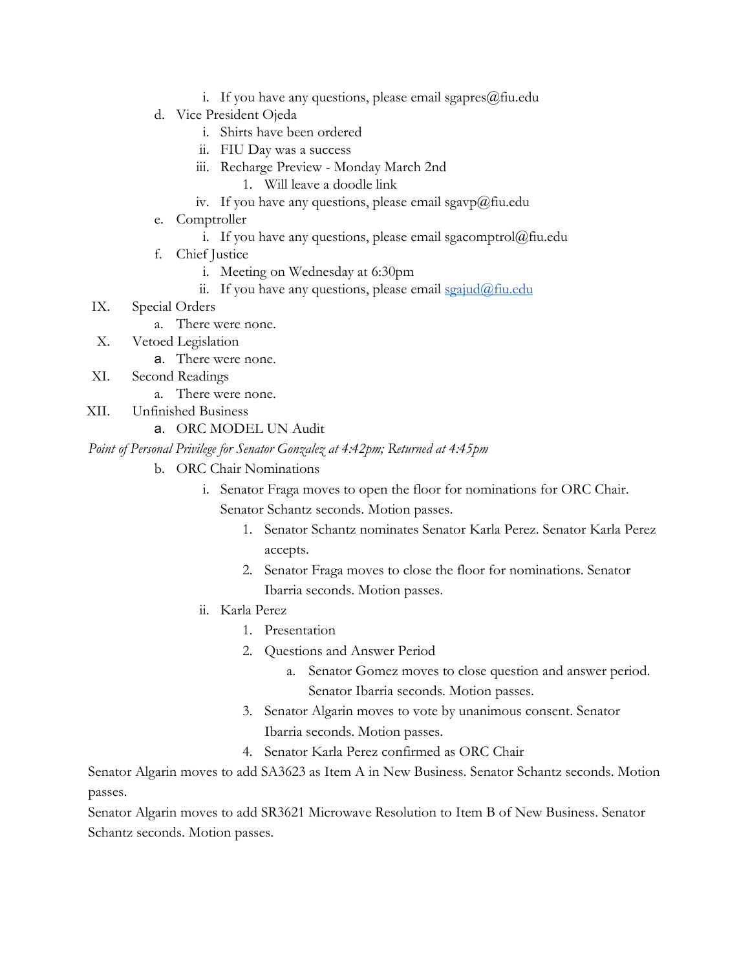- i. If you have any questions, please email sgapres $@$ fiu.edu
- d. Vice President Ojeda
	- i. Shirts have been ordered
	- ii. FIU Day was a success
	- iii. Recharge Preview Monday March 2nd
		- 1. Will leave a doodle link
	- iv. If you have any questions, please email sgavp@fiu.edu
- e. Comptroller
	- i. If you have any questions, please email sgacomptrol $@$ fiu.edu
- f. Chief Justice
	- i. Meeting on Wednesday at 6:30pm
	- ii. If you have any questions, please email  $sgaiud@final$
- IX. Special Orders
	- a. There were none.
- X. Vetoed Legislation
	- a. There were none.
- XI. Second Readings
	- a. There were none.
- XII. Unfinished Business
	- a. ORC MODEL UN Audit

## *Point of Personal Privilege for Senator Gonzalez at 4:42pm; Returned at 4:45pm*

- b. ORC Chair Nominations
	- i. Senator Fraga moves to open the floor for nominations for ORC Chair. Senator Schantz seconds. Motion passes.
		- 1. Senator Schantz nominates Senator Karla Perez. Senator Karla Perez accepts.
		- 2. Senator Fraga moves to close the floor for nominations. Senator Ibarria seconds. Motion passes.
	- ii. Karla Perez
		- 1. Presentation
		- 2. Questions and Answer Period
			- a. Senator Gomez moves to close question and answer period. Senator Ibarria seconds. Motion passes.
		- 3. Senator Algarin moves to vote by unanimous consent. Senator Ibarria seconds. Motion passes.
		- 4. Senator Karla Perez confirmed as ORC Chair

Senator Algarin moves to add SA3623 as Item A in New Business. Senator Schantz seconds. Motion passes.

Senator Algarin moves to add SR3621 Microwave Resolution to Item B of New Business. Senator Schantz seconds. Motion passes.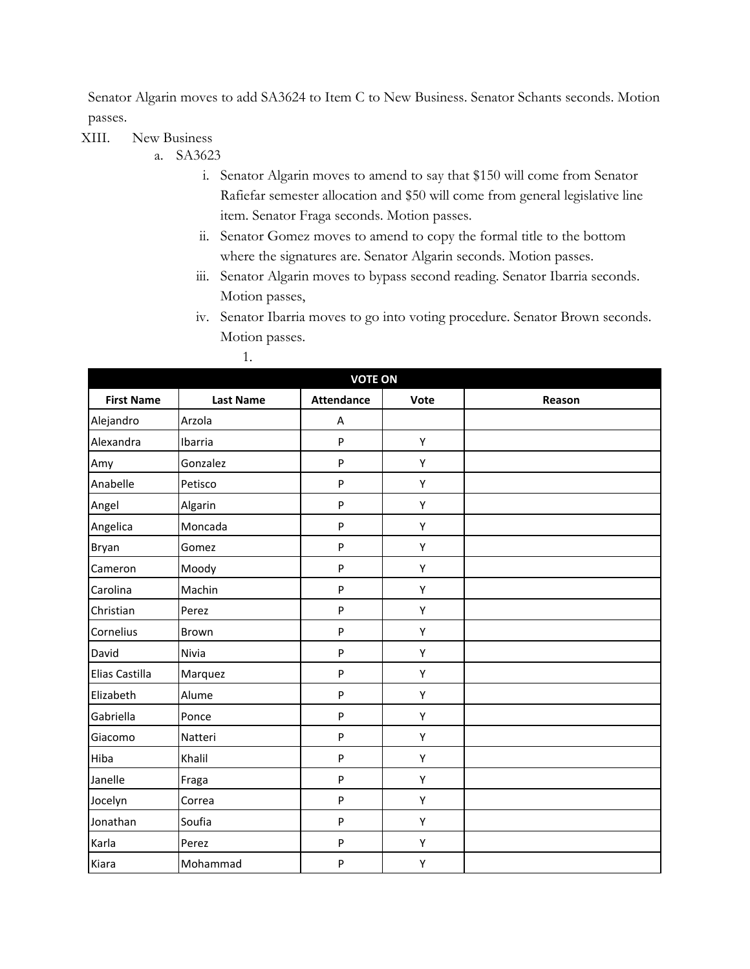Senator Algarin moves to add SA3624 to Item C to New Business. Senator Schants seconds. Motion passes.

XIII. New Business

- a. SA3623
	- i. Senator Algarin moves to amend to say that \$150 will come from Senator Rafiefar semester allocation and \$50 will come from general legislative line item. Senator Fraga seconds. Motion passes.
	- ii. Senator Gomez moves to amend to copy the formal title to the bottom where the signatures are. Senator Algarin seconds. Motion passes.
	- iii. Senator Algarin moves to bypass second reading. Senator Ibarria seconds. Motion passes,
	- iv. Senator Ibarria moves to go into voting procedure. Senator Brown seconds. Motion passes.

| <b>VOTE ON</b>    |                  |                   |      |        |
|-------------------|------------------|-------------------|------|--------|
| <b>First Name</b> | <b>Last Name</b> | <b>Attendance</b> | Vote | Reason |
| Alejandro         | Arzola           | A                 |      |        |
| Alexandra         | Ibarria          | P                 | Υ    |        |
| Amy               | Gonzalez         | P                 | Υ    |        |
| Anabelle          | Petisco          | P                 | Υ    |        |
| Angel             | Algarin          | P                 | Υ    |        |
| Angelica          | Moncada          | P                 | Υ    |        |
| Bryan             | Gomez            | P                 | Υ    |        |
| Cameron           | Moody            | P                 | Υ    |        |
| Carolina          | Machin           | P                 | Υ    |        |
| Christian         | Perez            | P                 | Υ    |        |
| Cornelius         | <b>Brown</b>     | P                 | Υ    |        |
| David             | Nivia            | P                 | Υ    |        |
| Elias Castilla    | Marquez          | P                 | Υ    |        |
| Elizabeth         | Alume            | P                 | Υ    |        |
| Gabriella         | Ponce            | P                 | Υ    |        |
| Giacomo           | Natteri          | P                 | Υ    |        |
| Hiba              | Khalil           | P                 | Υ    |        |
| Janelle           | Fraga            | P                 | Υ    |        |
| Jocelyn           | Correa           | P                 | Υ    |        |
| Jonathan          | Soufia           | P                 | Υ    |        |
| Karla             | Perez            | P                 | Υ    |        |
| Kiara             | Mohammad         | P                 | Υ    |        |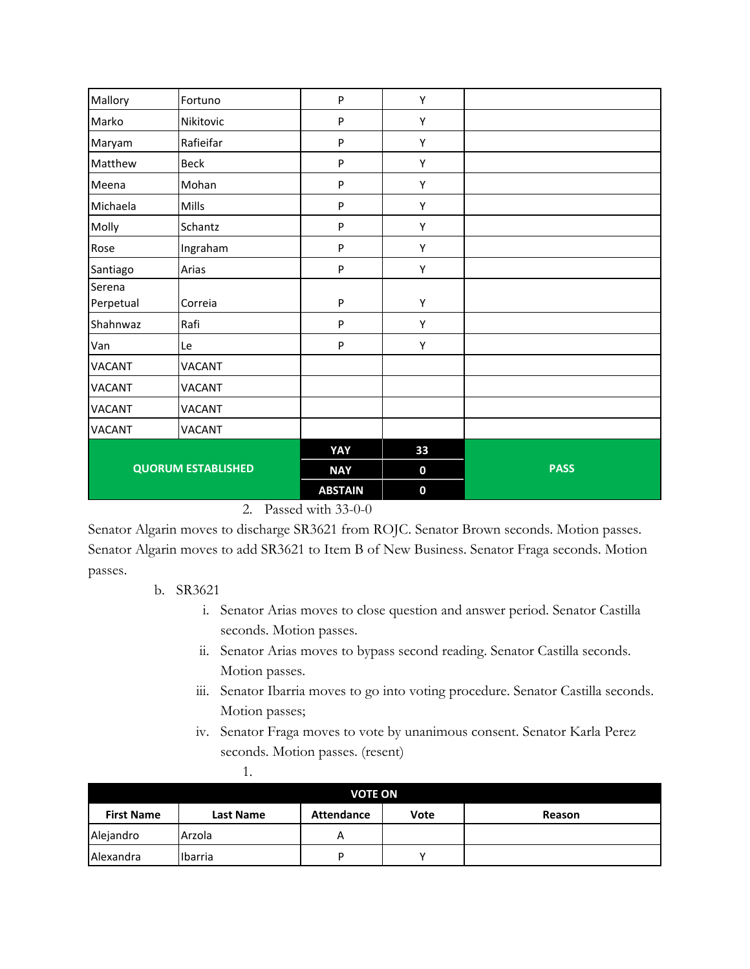| Mallory                   | Fortuno       | P              | Y           |             |
|---------------------------|---------------|----------------|-------------|-------------|
| Marko                     | Nikitovic     | ${\sf P}$      | Y           |             |
| Maryam                    | Rafieifar     | ${\sf P}$      | Y           |             |
| Matthew                   | Beck          | ${\sf P}$      | Υ           |             |
| Meena                     | Mohan         | ${\sf P}$      | $\mathsf Y$ |             |
| Michaela                  | Mills         | P              | Υ           |             |
| Molly                     | Schantz       | ${\sf P}$      | Υ           |             |
| Rose                      | Ingraham      | P              | Υ           |             |
| Santiago                  | Arias         | P              | Y           |             |
| Serena                    |               |                |             |             |
| Perpetual                 | Correia       | P              | Υ           |             |
| Shahnwaz                  | Rafi          | P              | Y           |             |
| Van                       | Le            | P              | Υ           |             |
| VACANT                    | <b>VACANT</b> |                |             |             |
| <b>VACANT</b>             | <b>VACANT</b> |                |             |             |
| <b>VACANT</b>             | <b>VACANT</b> |                |             |             |
| <b>VACANT</b>             | <b>VACANT</b> |                |             |             |
|                           |               | YAY            | 33          |             |
| <b>QUORUM ESTABLISHED</b> |               | <b>NAY</b>     | $\bf{0}$    | <b>PASS</b> |
|                           |               | <b>ABSTAIN</b> | $\mathbf 0$ |             |

2. Passed with 33-0-0

Senator Algarin moves to discharge SR3621 from ROJC. Senator Brown seconds. Motion passes. Senator Algarin moves to add SR3621 to Item B of New Business. Senator Fraga seconds. Motion passes.

## b. SR3621

- i. Senator Arias moves to close question and answer period. Senator Castilla seconds. Motion passes.
- ii. Senator Arias moves to bypass second reading. Senator Castilla seconds. Motion passes.
- iii. Senator Ibarria moves to go into voting procedure. Senator Castilla seconds. Motion passes;
- iv. Senator Fraga moves to vote by unanimous consent. Senator Karla Perez seconds. Motion passes. (resent)

|                   | . .       |                   |      |        |
|-------------------|-----------|-------------------|------|--------|
|                   |           | <b>VOTE ON</b>    |      |        |
| <b>First Name</b> | Last Name | <b>Attendance</b> | Vote | Reason |
| Alejandro         | Arzola    | А                 |      |        |
| Alexandra         | Ibarria   | D                 |      |        |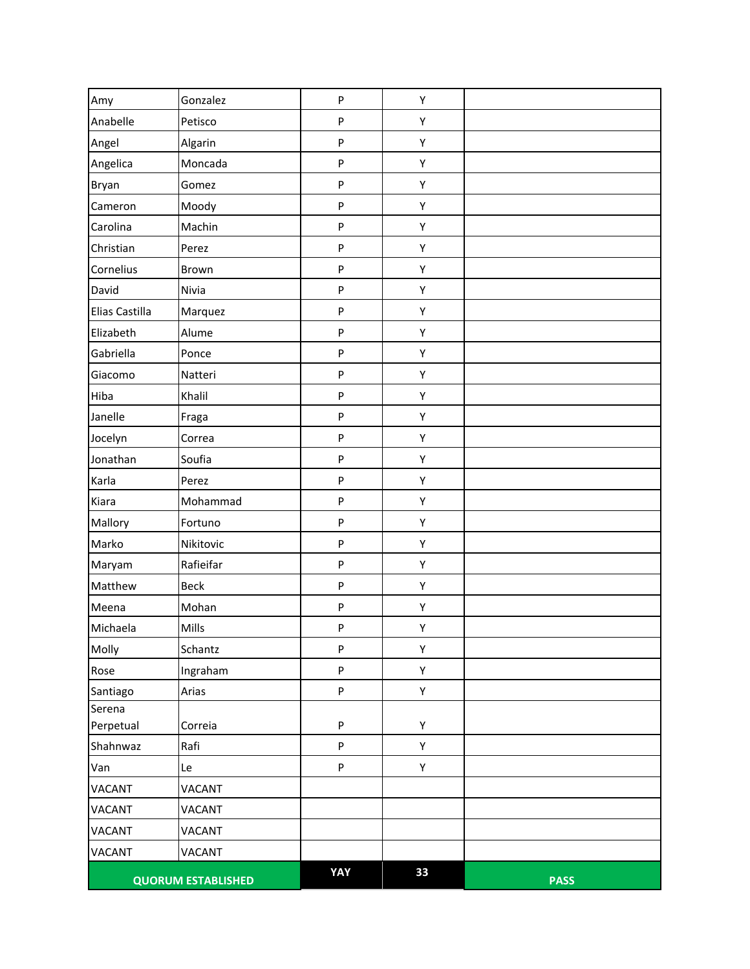| Amy            | Gonzalez                  | ${\sf P}$                 | Υ  |             |
|----------------|---------------------------|---------------------------|----|-------------|
| Anabelle       | Petisco                   | ${\sf P}$                 | Υ  |             |
| Angel          | Algarin                   | ${\sf P}$                 | Υ  |             |
| Angelica       | Moncada                   | ${\sf P}$                 | Υ  |             |
| Bryan          | Gomez                     | ${\sf P}$                 | Υ  |             |
| Cameron        | Moody                     | ${\sf P}$                 | Υ  |             |
| Carolina       | Machin                    | ${\sf P}$                 | Υ  |             |
| Christian      | Perez                     | ${\sf P}$                 | Υ  |             |
| Cornelius      | Brown                     | $\boldsymbol{\mathsf{P}}$ | Υ  |             |
| David          | Nivia                     | ${\sf P}$                 | Υ  |             |
| Elias Castilla | Marquez                   | ${\sf P}$                 | Υ  |             |
| Elizabeth      | Alume                     | P                         | Υ  |             |
| Gabriella      | Ponce                     | ${\sf P}$                 | Υ  |             |
| Giacomo        | Natteri                   | ${\sf P}$                 | Υ  |             |
| Hiba           | Khalil                    | ${\sf P}$                 | Υ  |             |
| Janelle        | Fraga                     | ${\sf P}$                 | Υ  |             |
| Jocelyn        | Correa                    | $\boldsymbol{\mathsf{P}}$ | Υ  |             |
| Jonathan       | Soufia                    | ${\sf P}$                 | Υ  |             |
| Karla          | Perez                     | ${\sf P}$                 | Υ  |             |
| Kiara          | Mohammad                  | ${\sf P}$                 | Υ  |             |
| Mallory        | Fortuno                   | ${\sf P}$                 | Υ  |             |
| Marko          | Nikitovic                 | ${\sf P}$                 | Υ  |             |
| Maryam         | Rafieifar                 | ${\sf P}$                 | Υ  |             |
| Matthew        | <b>Beck</b>               | ${\sf P}$                 | Υ  |             |
| Meena          | Mohan                     | $\sf P$                   | Υ  |             |
| Michaela       | Mills                     | ${\sf P}$                 | Υ  |             |
| Molly          | Schantz                   | ${\sf P}$                 | Υ  |             |
| Rose           | Ingraham                  | ${\sf P}$                 | Υ  |             |
| Santiago       | Arias                     | $\boldsymbol{\mathsf{P}}$ | Υ  |             |
| Serena         |                           |                           |    |             |
| Perpetual      | Correia                   | ${\sf P}$                 | Υ  |             |
| Shahnwaz       | Rafi                      | $\boldsymbol{\mathsf{P}}$ | Υ  |             |
| Van            | Le                        | ${\sf P}$                 | Υ  |             |
| VACANT         | <b>VACANT</b>             |                           |    |             |
| <b>VACANT</b>  | <b>VACANT</b>             |                           |    |             |
| VACANT         | VACANT                    |                           |    |             |
| VACANT         | VACANT                    |                           |    |             |
|                | <b>QUORUM ESTABLISHED</b> | YAY                       | 33 | <b>PASS</b> |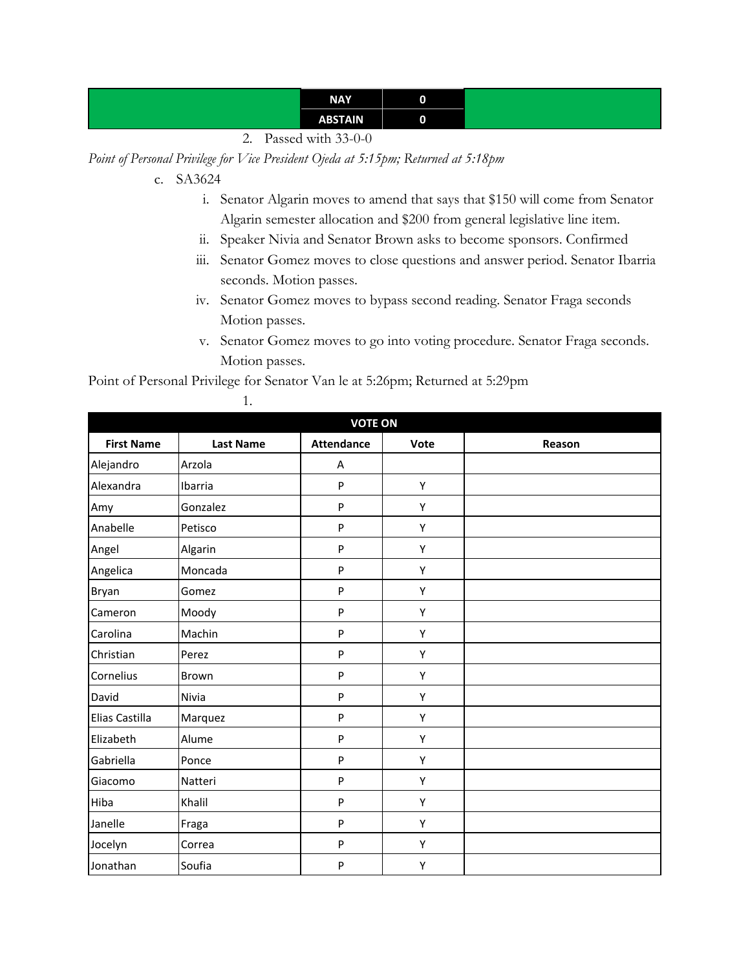| <b>NAY</b>     |  |
|----------------|--|
| <b>ABSTAIN</b> |  |

2. Passed with 33-0-0

*Point of Personal Privilege for Vice President Ojeda at 5:15pm; Returned at 5:18pm*

- c. SA3624
	- i. Senator Algarin moves to amend that says that \$150 will come from Senator Algarin semester allocation and \$200 from general legislative line item.
	- ii. Speaker Nivia and Senator Brown asks to become sponsors. Confirmed
	- iii. Senator Gomez moves to close questions and answer period. Senator Ibarria seconds. Motion passes.
	- iv. Senator Gomez moves to bypass second reading. Senator Fraga seconds Motion passes.
	- v. Senator Gomez moves to go into voting procedure. Senator Fraga seconds. Motion passes.

Point of Personal Privilege for Senator Van le at 5:26pm; Returned at 5:29pm

1.

| <b>VOTE ON</b>    |                  |                   |      |        |
|-------------------|------------------|-------------------|------|--------|
| <b>First Name</b> | <b>Last Name</b> | <b>Attendance</b> | Vote | Reason |
| Alejandro         | Arzola           | A                 |      |        |
| Alexandra         | Ibarria          | P                 | Υ    |        |
| Amy               | Gonzalez         | P                 | Υ    |        |
| Anabelle          | Petisco          | P                 | Υ    |        |
| Angel             | Algarin          | P                 | Υ    |        |
| Angelica          | Moncada          | P                 | Υ    |        |
| Bryan             | Gomez            | P                 | Υ    |        |
| Cameron           | Moody            | P                 | Υ    |        |
| Carolina          | Machin           | P                 | Υ    |        |
| Christian         | Perez            | P                 | Υ    |        |
| Cornelius         | Brown            | P                 | Υ    |        |
| David             | Nivia            | P                 | Υ    |        |
| Elias Castilla    | Marquez          | P                 | Υ    |        |
| Elizabeth         | Alume            | P                 | Υ    |        |
| Gabriella         | Ponce            | P                 | Υ    |        |
| Giacomo           | Natteri          | P                 | Υ    |        |
| Hiba              | Khalil           | P                 | Υ    |        |
| Janelle           | Fraga            | P                 | Υ    |        |
| Jocelyn           | Correa           | P                 | Υ    |        |
| Jonathan          | Soufia           | P                 | Υ    |        |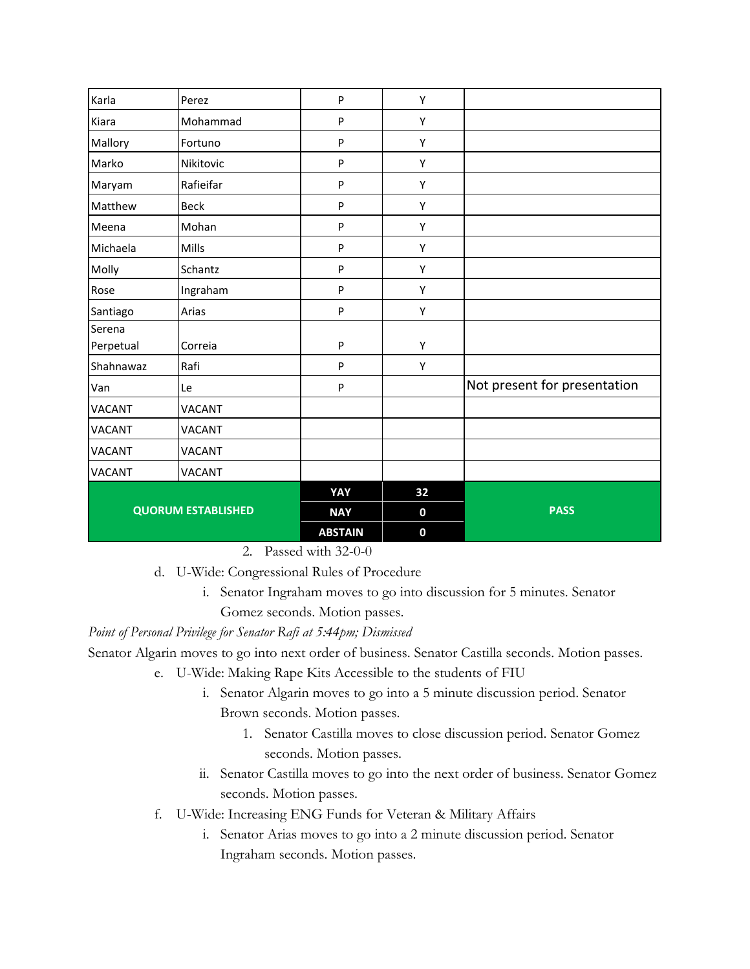| Karla                     | Perez<br>Mohammad | P<br>${\sf P}$ | Υ<br>Υ           |                              |
|---------------------------|-------------------|----------------|------------------|------------------------------|
| Kiara                     |                   |                |                  |                              |
| Mallory                   | Fortuno           | P              | Υ                |                              |
| Marko                     | Nikitovic         | P              | Υ                |                              |
| Maryam                    | Rafieifar         | P              | Υ                |                              |
| Matthew                   | <b>Beck</b>       | P              | Υ                |                              |
| Meena                     | Mohan             | P              | Υ                |                              |
| Michaela                  | Mills             | P              | Υ                |                              |
| Molly                     | Schantz           | ${\sf P}$      | Υ                |                              |
| Rose                      | Ingraham          | P              | Υ                |                              |
| Santiago                  | Arias             | $\mathsf{P}$   | Υ                |                              |
| Serena                    |                   |                |                  |                              |
| Perpetual                 | Correia           | P              | Υ                |                              |
| Shahnawaz                 | Rafi              | P              | Y                |                              |
| Van                       | Le                | P              |                  | Not present for presentation |
| <b>VACANT</b>             | <b>VACANT</b>     |                |                  |                              |
| <b>VACANT</b>             | <b>VACANT</b>     |                |                  |                              |
| <b>VACANT</b>             | <b>VACANT</b>     |                |                  |                              |
| <b>VACANT</b>             | <b>VACANT</b>     |                |                  |                              |
| <b>QUORUM ESTABLISHED</b> |                   | YAY            | 32               |                              |
|                           |                   | <b>NAY</b>     | $\mathbf 0$      | <b>PASS</b>                  |
|                           |                   | <b>ABSTAIN</b> | $\boldsymbol{0}$ |                              |

2. Passed with 32-0-0

d. U-Wide: Congressional Rules of Procedure

i. Senator Ingraham moves to go into discussion for 5 minutes. Senator Gomez seconds. Motion passes.

*Point of Personal Privilege for Senator Rafi at 5:44pm; Dismissed*

Senator Algarin moves to go into next order of business. Senator Castilla seconds. Motion passes.

- e. U-Wide: Making Rape Kits Accessible to the students of FIU
	- i. Senator Algarin moves to go into a 5 minute discussion period. Senator Brown seconds. Motion passes.
		- 1. Senator Castilla moves to close discussion period. Senator Gomez seconds. Motion passes.
	- ii. Senator Castilla moves to go into the next order of business. Senator Gomez seconds. Motion passes.
- f. U-Wide: Increasing ENG Funds for Veteran & Military Affairs
	- i. Senator Arias moves to go into a 2 minute discussion period. Senator Ingraham seconds. Motion passes.